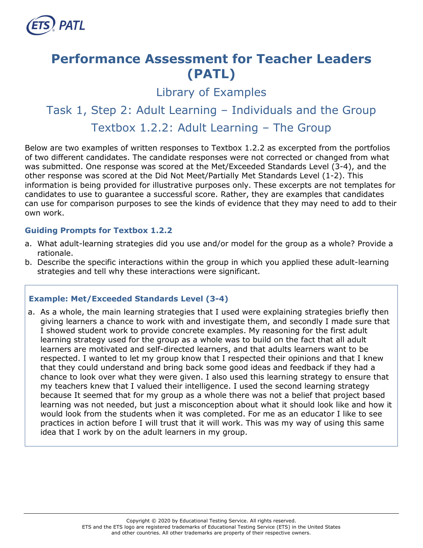

# **Performance Assessment for Teacher Leaders (PATL)**

Library of Examples

## Task 1, Step 2: Adult Learning – Individuals and the Group Textbox 1.2.2: Adult Learning – The Group

Below are two examples of written responses to Textbox 1.2.2 as excerpted from the portfolios of two different candidates. The candidate responses were not corrected or changed from what was submitted. One response was scored at the Met/Exceeded Standards Level (3-4), and the other response was scored at the Did Not Meet/Partially Met Standards Level (1-2). This information is being provided for illustrative purposes only. These excerpts are not templates for candidates to use to guarantee a successful score. Rather, they are examples that candidates can use for comparison purposes to see the kinds of evidence that they may need to add to their own work.

#### **Guiding Prompts for Textbox 1.2.2**

- a. What adult-learning strategies did you use and/or model for the group as a whole? Provide a rationale.
- b. Describe the specific interactions within the group in which you applied these adult-learning strategies and tell why these interactions were significant.

#### **Example: Met/Exceeded Standards Level (3-4)**

a. As a whole, the main learning strategies that I used were explaining strategies briefly then giving learners a chance to work with and investigate them, and secondly I made sure that I showed student work to provide concrete examples. My reasoning for the first adult learning strategy used for the group as a whole was to build on the fact that all adult learners are motivated and self-directed learners, and that adults learners want to be respected. I wanted to let my group know that I respected their opinions and that I knew that they could understand and bring back some good ideas and feedback if they had a chance to look over what they were given. I also used this learning strategy to ensure that my teachers knew that I valued their intelligence. I used the second learning strategy because It seemed that for my group as a whole there was not a belief that project based learning was not needed, but just a misconception about what it should look like and how it would look from the students when it was completed. For me as an educator I like to see practices in action before I will trust that it will work. This was my way of using this same idea that I work by on the adult learners in my group.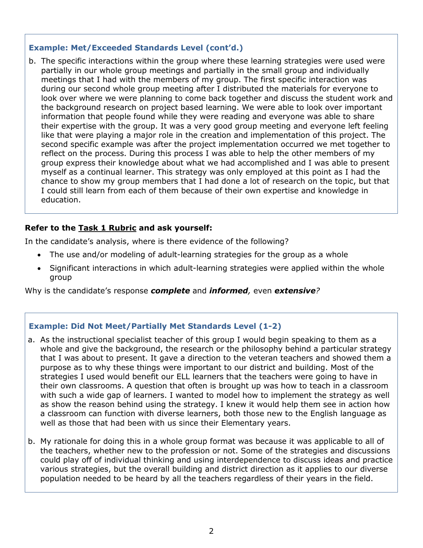#### **Example: Met/Exceeded Standards Level (cont'd.)**

b. The specific interactions within the group where these learning strategies were used were partially in our whole group meetings and partially in the small group and individually meetings that I had with the members of my group. The first specific interaction was during our second whole group meeting after I distributed the materials for everyone to look over where we were planning to come back together and discuss the student work and the background research on project based learning. We were able to look over important information that people found while they were reading and everyone was able to share their expertise with the group. It was a very good group meeting and everyone left feeling like that were playing a major role in the creation and implementation of this project. The second specific example was after the project implementation occurred we met together to reflect on the process. During this process I was able to help the other members of my group express their knowledge about what we had accomplished and I was able to present myself as a continual learner. This strategy was only employed at this point as I had the chance to show my group members that I had done a lot of research on the topic, but that I could still learn from each of them because of their own expertise and knowledge in education.

#### **Refer to the [Task 1 Rubric](http://gace.ets.org/s/pdf/gace_teacher_leadership_assessment_task_1_rubric.pdf) and ask yourself:**

In the candidate's analysis, where is there evidence of the following?

- The use and/or modeling of adult-learning strategies for the group as a whole
- Significant interactions in which adult-learning strategies were applied within the whole group

Why is the candidate's response *complete* and *informed,* even *extensive?*

#### **Example: Did Not Meet/Partially Met Standards Level (1-2)**

- a. As the instructional specialist teacher of this group I would begin speaking to them as a whole and give the background, the research or the philosophy behind a particular strategy that I was about to present. It gave a direction to the veteran teachers and showed them a purpose as to why these things were important to our district and building. Most of the strategies I used would benefit our ELL learners that the teachers were going to have in their own classrooms. A question that often is brought up was how to teach in a classroom with such a wide gap of learners. I wanted to model how to implement the strategy as well as show the reason behind using the strategy. I knew it would help them see in action how a classroom can function with diverse learners, both those new to the English language as well as those that had been with us since their Elementary years.
- b. My rationale for doing this in a whole group format was because it was applicable to all of the teachers, whether new to the profession or not. Some of the strategies and discussions could play off of individual thinking and using interdependence to discuss ideas and practice various strategies, but the overall building and district direction as it applies to our diverse population needed to be heard by all the teachers regardless of their years in the field.